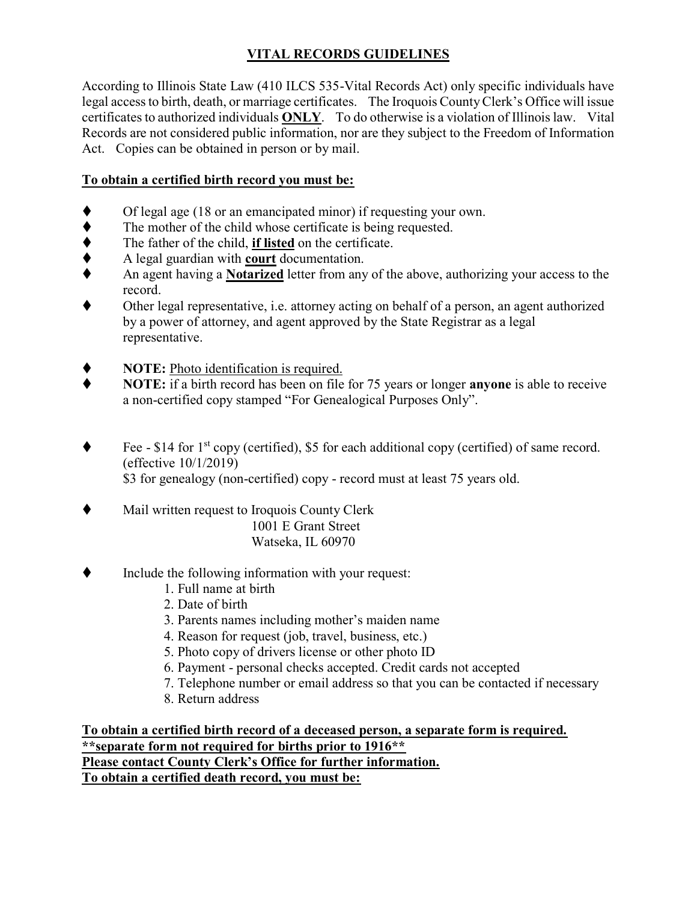## **VITAL RECORDS GUIDELINES**

According to Illinois State Law (410 ILCS 535-Vital Records Act) only specific individuals have legal access to birth, death, or marriage certificates. The Iroquois County Clerk's Office will issue certificates to authorized individuals **ONLY**. To do otherwise is a violation of Illinois law. Vital Records are not considered public information, nor are they subject to the Freedom of Information Act. Copies can be obtained in person or by mail.

## **To obtain a certified birth record you must be:**

- ⧫ Of legal age (18 or an emancipated minor) if requesting your own.
- ◆ The mother of the child whose certificate is being requested.
- ⧫ The father of the child, **if listed** on the certificate.
- ⧫ A legal guardian with **court** documentation.
- An agent having a **Notarized** letter from any of the above, authorizing your access to the record.
- ⧫ Other legal representative, i.e. attorney acting on behalf of a person, an agent authorized by a power of attorney, and agent approved by the State Registrar as a legal representative.
- NOTE: Photo identification is required.
- NOTE: if a birth record has been on file for 75 years or longer **anyone** is able to receive a non-certified copy stamped "For Genealogical Purposes Only".
- Fee \$14 for 1<sup>st</sup> copy (certified), \$5 for each additional copy (certified) of same record. (effective 10/1/2019) \$3 for genealogy (non-certified) copy - record must at least 75 years old.
- Mail written request to Iroquois County Clerk 1001 E Grant Street Watseka, IL 60970
- Include the following information with your request:
	- 1. Full name at birth
	- 2. Date of birth
	- 3. Parents names including mother's maiden name
	- 4. Reason for request (job, travel, business, etc.)
	- 5. Photo copy of drivers license or other photo ID
	- 6. Payment personal checks accepted. Credit cards not accepted
	- 7. Telephone number or email address so that you can be contacted if necessary
	- 8. Return address

**To obtain a certified birth record of a deceased person, a separate form is required. \*\*separate form not required for births prior to 1916\*\* Please contact County Clerk's Office for further information. To obtain a certified death record, you must be:**